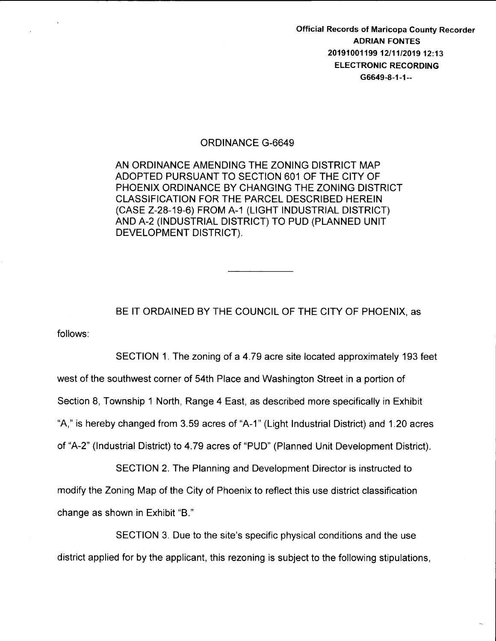Official Records of Maricopa County Recorder ADRIAN FONTES 2019100119912/11/2019 12:13 ELECTRONIC RECORDING G6649-8-1-1--

## ORDINANCE G-6649

AN ORDINANCE AMENDING THE ZONING DISTRICT MAP ADOPTED PURSUANT TO SECTION 601 OF THE CITY OF PHOENIX ORDINANCE BY CHANGING THE ZONING DISTRICT CLASSIFICATION FOR THE PARCEL DESCRIBED HEREIN (CASE Z-28-19-6) FROM A-1 (LIGHT INDUSTRIAL DISTRICT) AND A-2 (INDUSTRIAL DISTRICT) TO PUD (PLANNED UNIT DEVELOPMENT DISTRICT).

follows: BE IT ORDAINED BY THE COUNCIL OF THE CITY OF PHOENIX, as

SECTION 1. The zoning of a 4.79 acre site located approximately 193 feet west of the southwest corner of 54th Place and Washington Street in a portion of Section 8, Township 1 North, Range 4 East, as described more specifically in Exhibit "A," is hereby changed from 3.59 acres of "A-1" (Light Industrial District) and 1.20 acres of "A-2" (Industrial District) to 4.79 acres of "PUD" (Planned Unit Development District).

SECTION 2. The Planning and Development Director is instructed to modify the Zoning Map of the City of Phoenix to reflect this use district classification change as shown in Exhibit "B."

SECTION 3. Due to the site's specific physical conditions and the use district applied for by the applicant, this rezoning is subject to the following stipulations,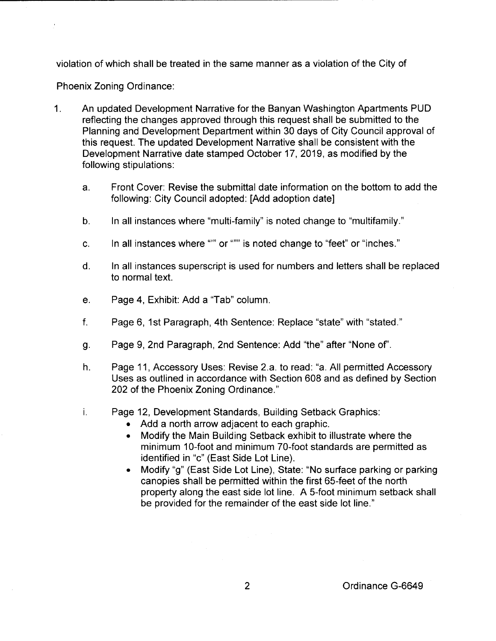violation of which shall be treated in the same manner as a violation of the City of

Phoenix Zoning Ordinance:

- 1. An updated Development Narrative for the Banyan Washington Apartments PUD reflecting the changes approved through this request shall be submitted to the Planning and Development Department within 30 days of City Council approval of this request. The updated Development Narrative shall be consistent with the Development Narrative date stamped October 17, 2019, as modified by the following stipulations:
	- a. Front Cover: Revise the submittal date information on the bottom to add the following: City Council adopted: [Add adoption date]
	- b. In all instances where "multi-family" is noted change to "multifamily."
	- c. In all instances where "" or """ is noted change to "feet" or "inches."
	- d. In all instances superscript is used for numbers and letters shall be replaced to normal text.
	- e. Page 4, Exhibit: Add a "Tab" column.
	- f. Page 6, 1st Paragraph, 4th Sentence: Replace "state" with "stated."
	- g. Page 9, 2nd Paragraph, 2nd Sentence: Add "the" after "None of'.
	- h. Page 11, Accessory Uses: Revise 2.a. to read: "a. All permitted Accessory Uses as outlined in accordance with Section 608 and as defined by Section 202 of the Phoenix Zoning Ordinance."
	- i. Page 12, Development Standards, Building Setback Graphics:
		- Add a north arrow adjacent to each graphic.
		- Modify the Main Building Setback exhibit to illustrate where the minimum 10-foot and minimum 70-foot standards are permitted as identified in "c" (East Side Lot Line).
		- Modify "g" (East Side Lot Line), State: "No surface parking or parking canopies shall be permitted within the first 65-feet of the north property along the east side lot line. A 5-foot minimum setback shall be provided for the remainder of the east side lot line."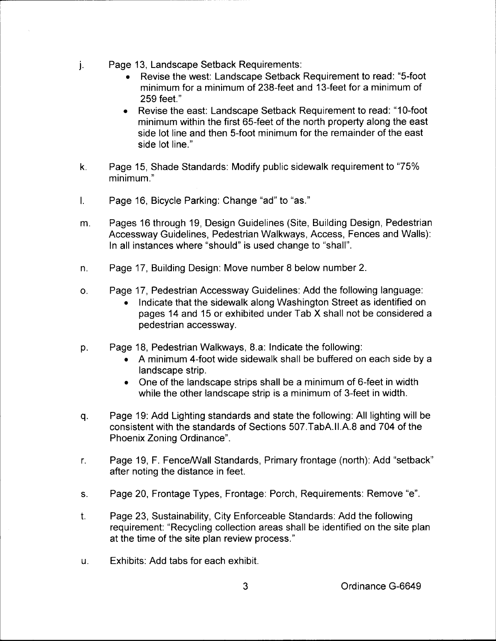j. Page 13, Landscape Setback Requirements:

,...-----------------------------

- Revise the west: Landscape Setback Requirement to read: "5-foot minimum for a minimum of 238-feet and 13-feet for a minimum of 259 feet."
- Revise the east: Landscape Setback Requirement to read: "10-foot" minimum within the first 65-feet of the north property along the east side lot line and then 5-foot minimum for the remainder of the east side lot line."
- k. Page 15, Shade Standards: Modify public sidewalk requirement to "75% minimum."
- I. Page 16, Bicycle Parking: Change "ad" to "as."
- m. Pages 16 through 19, Design Guidelines (Site, Building Design, Pedestrian Accessway Guidelines, Pedestrian Walkways, Access, Fences and Walls): In all instances where "should" is used change to "shall".
- n. Page 17, Building Design: Move number 8 below number 2.
- o. Page 17, Pedestrian Accessway Guidelines: Add the following language:
	- Indicate that the sidewalk along Washington Street as identified on pages 14 and 15 or exhibited under Tab X shall not be considered a pedestrian accessway.
- p. Page 18, Pedestrian Walkways, 8.a: Indicate the following:
	- A minimum 4-foot wide sidewalk shall be buffered on each side by a landscape strip.
	- One of the landscape strips shall be a minimum of 6-feet in width while the other landscape strip is a minimum of 3-feet in width.
- q. Page 19: Add Lighting standards and state the following: All lighting will be consistent with the standards of Sections 507.TabA.II.A.8 and 704 of the Phoenix Zoning Ordinance".
- r. Page 19, F. Fence/Wall Standards, Primary frontage (north): Add "setback" after noting the distance in feet.
- s. Page 20, Frontage Types, Frontage: Porch, Requirements: Remove "e".
- t. Page 23, Sustainability, City Enforceable Standards: Add the following requirement: "Recycling collection areas shall be identified on the site plan at the time of the site plan review process."
- u. Exhibits: Add tabs for each exhibit.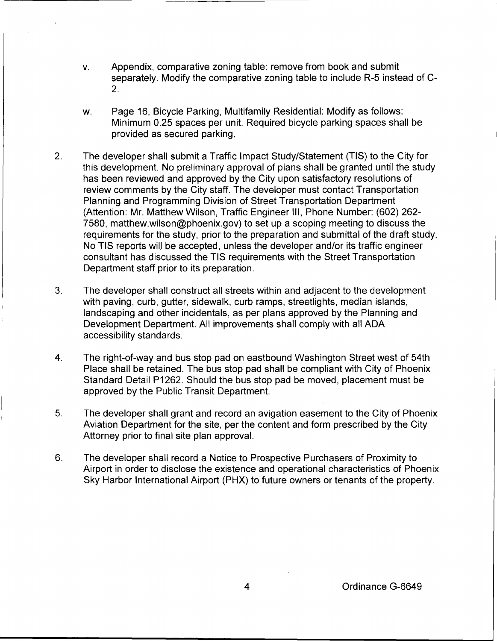- v. Appendix, comparative zoning table: remove from book and submit separately. Modify the comparative zoning table to include R-5 instead of C-2.
- w. Page 16, Bicycle Parking, Multifamily Residential: Modify as follows: Minimum 0.25 spaces per unit. Required bicycle parking spaces shall be provided as secured parking.
- 2. The developer shall submit a Traffic Impact Study/Statement (TIS) to the City for this development. No preliminary approval of plans shall be granted until the study has been reviewed and approved by the City upon satisfactory resolutions of review comments by the City staff. The developer must contact Transportation Planning and Programming Division of Street Transportation Department (Attention: Mr. Matthew Wilson, Traffic Engineer Ill, Phone Number: (602) 262- 7580, matthew.wilson@phoenix.gov) to set up a scoping meeting to discuss the requirements for the study, prior to the preparation and submittal of the draft study. No TIS reports will be accepted, unless the developer and/or its traffic engineer consultant has discussed the TIS requirements with the Street Transportation Department staff prior to its preparation.
- 3. The developer shall construct all streets within and adjacent to the development with paving, curb, gutter, sidewalk, curb ramps, streetlights, median islands, landscaping and other incidentals, as per plans approved by the Planning and Development Department. All improvements shall comply with all ADA accessibility standards.
- 4. The right-of-way and bus stop pad on eastbound Washington Street west of 54th Place shall be retained. The bus stop pad shall be compliant with City of Phoenix Standard Detail P1262. Should the bus stop pad be moved, placement must be approved by the Public Transit Department.
- 5. The developer shall grant and record an avigation easement to the City of Phoenix Aviation Department for the site, per the content and form prescribed by the City Attorney prior to final site plan approval.
- 6. The developer shall record a Notice to Prospective Purchasers of Proximity to Airport in order to disclose the existence and operational characteristics of Phoenix Sky Harbor International Airport (PHX) to future owners or tenants of the property.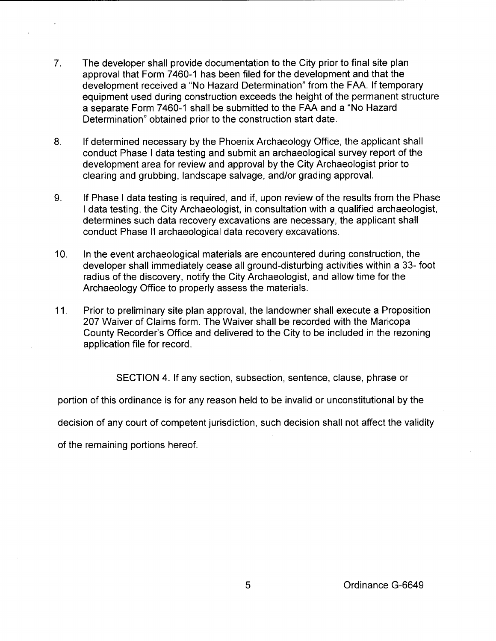- 7. The developer shall provide documentation to the City prior to final site plan approval that Form 7460-1 has been filed for the development and that the development received a "No Hazard Determination" from the FAA. If temporary equipment used during construction exceeds the height of the permanent structure a separate Form 7460-1 shall be submitted to the FAA and a "No Hazard Determination" obtained prior to the construction start date.
- 8. If determined necessary by the Phoenix Archaeology Office, the applicant shall conduct Phase I data testing and submit an archaeological survey report of the development area for review and approval by the City Archaeologist prior to clearing and grubbing, landscape salvage, and/or grading approval.
- 9. If Phase I data testing is required, and if, upon review of the results from the Phase I data testing, the City Archaeologist, in consultation with a qualified archaeologist, determines such data recovery excavations are necessary, the applicant shall conduct Phase II archaeological data recovery excavations.
- 10. In the event archaeological materials are encountered during construction, the developer shall immediately cease all ground-disturbing activities within a 33- foot radius of the discovery, notify the City Archaeologist, and allow time for the Archaeology Office to properly assess the materials.
- 11. Prior to preliminary site plan approval, the landowner shall execute a Proposition 207 Waiver of Claims form. The Waiver shall be recorded with the Maricopa County Recorder's Office and delivered to the City to be included in the rezoning application file for record.

SECTION 4. If any section, subsection, sentence, clause, phrase or

portion of this ordinance is for any reason held to be invalid or unconstitutional by the

decision of any court of competent jurisdiction, such decision shall not affect the validity

of the remaining portions hereof.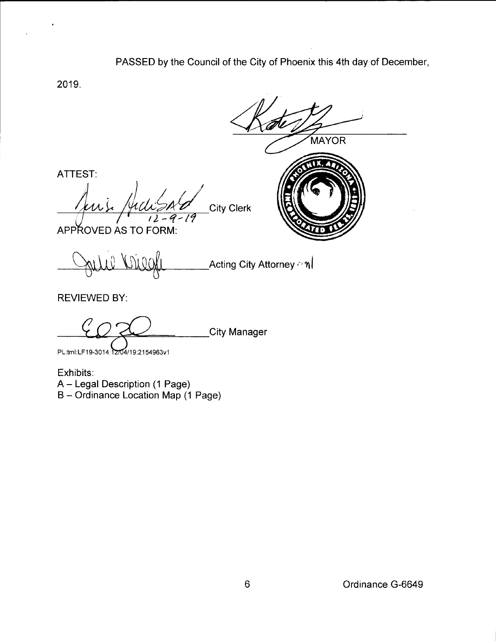PASSED by the Council of the City of Phoenix this 4th day of December,

2019.

ATTEST:

MAYOR **City Clerk**  $12 - 9 - 19$ 

APPROVED AS TO FORM:

 $\sum_{i=1}^N\sum_{i=1}^N\sum_{i=1}^N\left(\sum_{i=1}^N\left|\sum_{i=1}^N\left(\sum_{i=1}^N\left|X_i^N\right)^2\right|\right)^2\right)^{1/2}$ 

REVIEWED BY:

City Manager

PL:tml:LF19-3014:12704/19:2154963v1

Exhibits:

A- Legal Description (1 Page)

B- Ordinance Location Map (1 Page)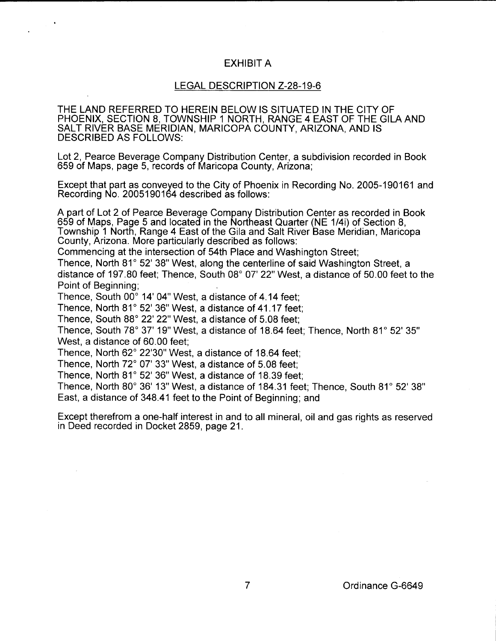## EXHIBIT A

## LEGAL DESCRIPTION Z-28-19-6

THE LAND REFERRED TO HEREIN BELOW IS SITUATED IN THE CITY OF PHOENIX, SECTION 8, TOWNSHIP 1 NORTH, RANGE 4 EAST OF THE GILA AND SALT RIVER BASE MERIDIAN, MARICOPA COUNTY, ARIZONA, AND IS DESCRIBED AS FOLLOWS:

Lot 2, Pearce Beverage Company Distribution Center, a subdivision recorded in Book 659 of Maps, page 5, records of Maricopa County, Arizona;

Except that part as conveyed to the City of Phoenix in Recording No. 2005-190161 and Recording No. 2005190164 described as follows:

A part of Lot 2 of Pearce Beverage Company Distribution Center as recorded in Book 659 of Maps, Page 5 and located in the Northeast Quarter (NE 1/4i) of Section 8, Township 1 North, Range 4 East of the Gila and Salt River Base Meridian, Maricopa County, Arizona. More particularly described as follows:

Commencing at the intersection of 54th Place and Washington Street;

Thence, North 81° 52' 38" West, along the centerline of said Washington Street, a distance of 197.80 feet; Thence, South 08° 07' 22" West, a distance of 50.00 feet to the Point of Beginning;

Thence, South 00° 14' 04" West, a distance of 4.14 feet;

Thence, North 81° 52' 36" West, a distance of 41.17 feet;

Thence, South 88° 22' 22" West, a distance of 5.08 feet;

Thence, South 78° 37' 19" West, a distance of 18.64 feet; Thence, North 81° 52' 35" West, a distance of 60.00 feet;

Thence, North 62° 22'30" West, a distance of 18.64 feet;

Thence, North 72° 07' 33" West, a distance of 5.08 feet;

Thence, North 81° 52' 36" West, a distance of 18.39 feet;

Thence, North 80° 36' 13" West, a distance of 184.31 feet; Thence, South 81° 52' 38" East, a distance of 348.41 feet to the Point of Beginning; and

Except therefrom a one-half interest in and to all mineral, oil and gas rights as reserved in Deed recorded in Docket 2859, page 21.

7 Ordinance G-6649